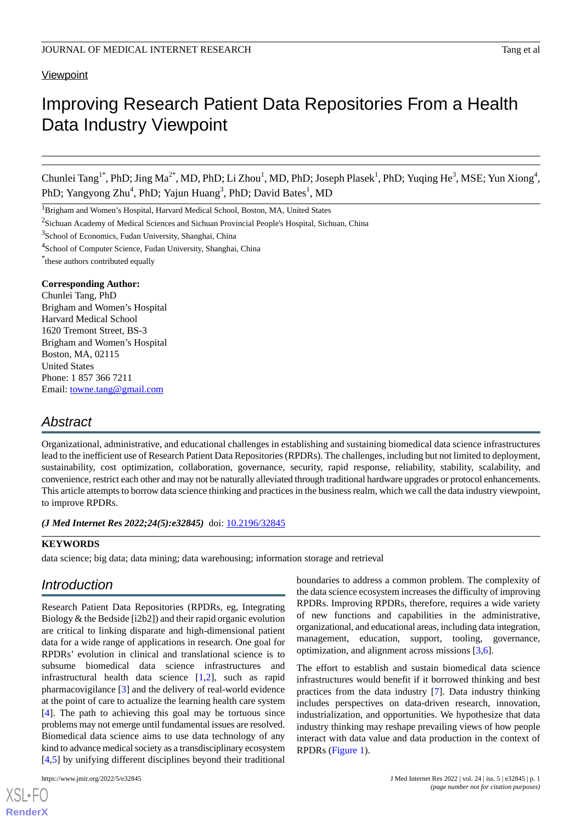### **Viewpoint**

# Improving Research Patient Data Repositories From a Health Data Industry Viewpoint

Chunlei Tang<sup>1\*</sup>, PhD; Jing Ma<sup>2\*</sup>, MD, PhD; Li Zhou<sup>1</sup>, MD, PhD; Joseph Plasek<sup>1</sup>, PhD; Yuqing He<sup>3</sup>, MSE; Yun Xiong<sup>4</sup>, PhD; Yangyong Zhu<sup>4</sup>, PhD; Yajun Huang<sup>3</sup>, PhD; David Bates<sup>1</sup>, MD

<sup>1</sup>Brigham and Women's Hospital, Harvard Medical School, Boston, MA, United States

<sup>2</sup>Sichuan Academy of Medical Sciences and Sichuan Provincial People's Hospital, Sichuan, China

<sup>3</sup>School of Economics, Fudan University, Shanghai, China

<sup>4</sup>School of Computer Science, Fudan University, Shanghai, China

\* these authors contributed equally

#### **Corresponding Author:**

Chunlei Tang, PhD Brigham and Women's Hospital Harvard Medical School 1620 Tremont Street, BS-3 Brigham and Women's Hospital Boston, MA, 02115 United States Phone: 1 857 366 7211 Email: [towne.tang@gmail.com](mailto:towne.tang@gmail.com)

## *Abstract*

Organizational, administrative, and educational challenges in establishing and sustaining biomedical data science infrastructures lead to the inefficient use of Research Patient Data Repositories (RPDRs). The challenges, including but not limited to deployment, sustainability, cost optimization, collaboration, governance, security, rapid response, reliability, stability, scalability, and convenience, restrict each other and may not be naturally alleviated through traditional hardware upgrades or protocol enhancements. This article attempts to borrow data science thinking and practices in the business realm, which we call the data industry viewpoint, to improve RPDRs.

*(J Med Internet Res 2022;24(5):e32845)* doi: [10.2196/32845](http://dx.doi.org/10.2196/32845)

### **KEYWORDS**

data science; big data; data mining; data warehousing; information storage and retrieval

## *Introduction*

Research Patient Data Repositories (RPDRs, eg, Integrating Biology & the Bedside [i2b2]) and their rapid organic evolution are critical to linking disparate and high-dimensional patient data for a wide range of applications in research. One goal for RPDRs' evolution in clinical and translational science is to subsume biomedical data science infrastructures and infrastructural health data science [\[1](#page-2-0),[2\]](#page-2-1), such as rapid pharmacovigilance [\[3](#page-2-2)] and the delivery of real-world evidence at the point of care to actualize the learning health care system [[4\]](#page-2-3). The path to achieving this goal may be tortuous since problems may not emerge until fundamental issues are resolved. Biomedical data science aims to use data technology of any kind to advance medical society as a transdisciplinary ecosystem [[4](#page-2-3)[,5](#page-2-4)] by unifying different disciplines beyond their traditional

[XSL](http://www.w3.org/Style/XSL)•FO **[RenderX](http://www.renderx.com/)**

boundaries to address a common problem. The complexity of the data science ecosystem increases the difficulty of improving RPDRs. Improving RPDRs, therefore, requires a wide variety of new functions and capabilities in the administrative, organizational, and educational areas, including data integration, management, education, support, tooling, governance, optimization, and alignment across missions [[3](#page-2-2)[,6\]](#page-2-5).

The effort to establish and sustain biomedical data science infrastructures would benefit if it borrowed thinking and best practices from the data industry [\[7](#page-2-6)]. Data industry thinking includes perspectives on data-driven research, innovation, industrialization, and opportunities. We hypothesize that data industry thinking may reshape prevailing views of how people interact with data value and data production in the context of RPDRs ([Figure 1](#page-1-0)).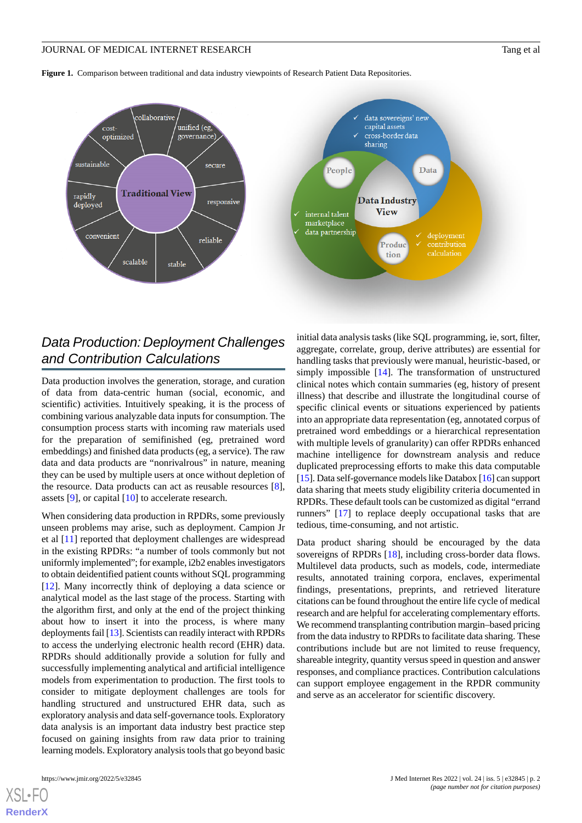#### JOURNAL OF MEDICAL INTERNET RESEARCH TANK THE SERVICE OF MEDICAL INTERNET RESEARCH

<span id="page-1-0"></span>**Figure 1.** Comparison between traditional and data industry viewpoints of Research Patient Data Repositories.





## *Data Production: Deployment Challenges and Contribution Calculations*

Data production involves the generation, storage, and curation of data from data-centric human (social, economic, and scientific) activities. Intuitively speaking, it is the process of combining various analyzable data inputs for consumption. The consumption process starts with incoming raw materials used for the preparation of semifinished (eg, pretrained word embeddings) and finished data products (eg, a service). The raw data and data products are "nonrivalrous" in nature, meaning they can be used by multiple users at once without depletion of the resource. Data products can act as reusable resources [[8\]](#page-2-7), assets [[9\]](#page-3-0), or capital [\[10](#page-3-1)] to accelerate research.

When considering data production in RPDRs, some previously unseen problems may arise, such as deployment. Campion Jr et al [[11\]](#page-3-2) reported that deployment challenges are widespread in the existing RPDRs: "a number of tools commonly but not uniformly implemented"; for example, i2b2 enables investigators to obtain deidentified patient counts without SQL programming [[12\]](#page-3-3). Many incorrectly think of deploying a data science or analytical model as the last stage of the process. Starting with the algorithm first, and only at the end of the project thinking about how to insert it into the process, is where many deployments fail [[13\]](#page-3-4). Scientists can readily interact with RPDRs to access the underlying electronic health record (EHR) data. RPDRs should additionally provide a solution for fully and successfully implementing analytical and artificial intelligence models from experimentation to production. The first tools to consider to mitigate deployment challenges are tools for handling structured and unstructured EHR data, such as exploratory analysis and data self-governance tools. Exploratory data analysis is an important data industry best practice step focused on gaining insights from raw data prior to training learning models. Exploratory analysis tools that go beyond basic

initial data analysis tasks (like SQL programming, ie, sort, filter, aggregate, correlate, group, derive attributes) are essential for handling tasks that previously were manual, heuristic-based, or simply impossible [\[14](#page-3-5)]. The transformation of unstructured clinical notes which contain summaries (eg, history of present illness) that describe and illustrate the longitudinal course of specific clinical events or situations experienced by patients into an appropriate data representation (eg, annotated corpus of pretrained word embeddings or a hierarchical representation with multiple levels of granularity) can offer RPDRs enhanced machine intelligence for downstream analysis and reduce duplicated preprocessing efforts to make this data computable [[15\]](#page-3-6). Data self-governance models like Databox [\[16\]](#page-3-7) can support data sharing that meets study eligibility criteria documented in RPDRs. These default tools can be customized as digital "errand runners" [[17\]](#page-3-8) to replace deeply occupational tasks that are tedious, time-consuming, and not artistic.

Data product sharing should be encouraged by the data sovereigns of RPDRs [\[18](#page-3-9)], including cross-border data flows. Multilevel data products, such as models, code, intermediate results, annotated training corpora, enclaves, experimental findings, presentations, preprints, and retrieved literature citations can be found throughout the entire life cycle of medical research and are helpful for accelerating complementary efforts. We recommend transplanting contribution margin–based pricing from the data industry to RPDRs to facilitate data sharing. These contributions include but are not limited to reuse frequency, shareable integrity, quantity versus speed in question and answer responses, and compliance practices. Contribution calculations can support employee engagement in the RPDR community and serve as an accelerator for scientific discovery.

[XSL](http://www.w3.org/Style/XSL)•FO **[RenderX](http://www.renderx.com/)**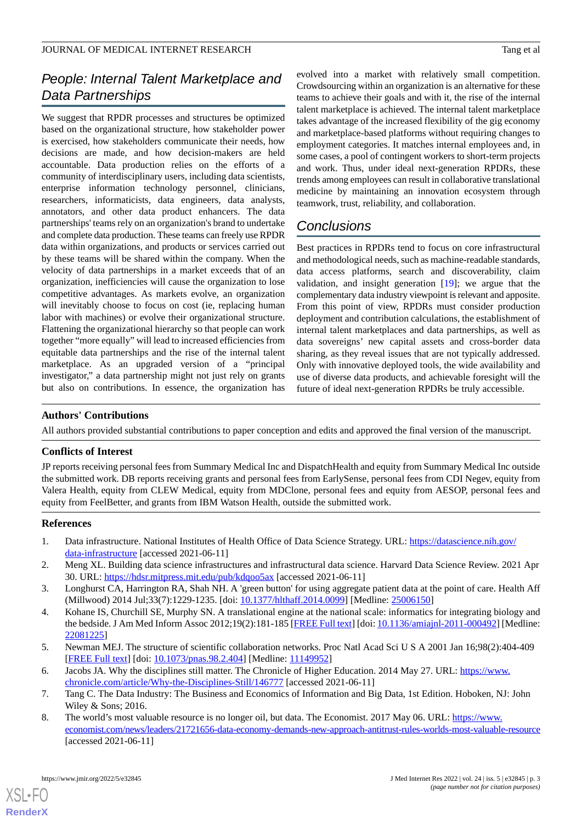## *People: Internal Talent Marketplace and Data Partnerships*

We suggest that RPDR processes and structures be optimized based on the organizational structure, how stakeholder power is exercised, how stakeholders communicate their needs, how decisions are made, and how decision-makers are held accountable. Data production relies on the efforts of a community of interdisciplinary users, including data scientists, enterprise information technology personnel, clinicians, researchers, informaticists, data engineers, data analysts, annotators, and other data product enhancers. The data partnerships' teams rely on an organization's brand to undertake and complete data production. These teams can freely use RPDR data within organizations, and products or services carried out by these teams will be shared within the company. When the velocity of data partnerships in a market exceeds that of an organization, inefficiencies will cause the organization to lose competitive advantages. As markets evolve, an organization will inevitably choose to focus on cost (ie, replacing human labor with machines) or evolve their organizational structure. Flattening the organizational hierarchy so that people can work together "more equally" will lead to increased efficiencies from equitable data partnerships and the rise of the internal talent marketplace. As an upgraded version of a "principal investigator," a data partnership might not just rely on grants but also on contributions. In essence, the organization has

evolved into a market with relatively small competition. Crowdsourcing within an organization is an alternative for these teams to achieve their goals and with it, the rise of the internal talent marketplace is achieved. The internal talent marketplace takes advantage of the increased flexibility of the gig economy and marketplace-based platforms without requiring changes to employment categories. It matches internal employees and, in some cases, a pool of contingent workers to short-term projects and work. Thus, under ideal next-generation RPDRs, these trends among employees can result in collaborative translational medicine by maintaining an innovation ecosystem through teamwork, trust, reliability, and collaboration.

## *Conclusions*

Best practices in RPDRs tend to focus on core infrastructural and methodological needs, such as machine-readable standards, data access platforms, search and discoverability, claim validation, and insight generation [\[19](#page-3-10)]; we argue that the complementary data industry viewpoint is relevant and apposite. From this point of view, RPDRs must consider production deployment and contribution calculations, the establishment of internal talent marketplaces and data partnerships, as well as data sovereigns' new capital assets and cross-border data sharing, as they reveal issues that are not typically addressed. Only with innovative deployed tools, the wide availability and use of diverse data products, and achievable foresight will the future of ideal next-generation RPDRs be truly accessible.

## **Authors' Contributions**

All authors provided substantial contributions to paper conception and edits and approved the final version of the manuscript.

### **Conflicts of Interest**

<span id="page-2-0"></span>JP reports receiving personal fees from Summary Medical Inc and DispatchHealth and equity from Summary Medical Inc outside the submitted work. DB reports receiving grants and personal fees from EarlySense, personal fees from CDI Negev, equity from Valera Health, equity from CLEW Medical, equity from MDClone, personal fees and equity from AESOP, personal fees and equity from FeelBetter, and grants from IBM Watson Health, outside the submitted work.

### <span id="page-2-2"></span><span id="page-2-1"></span>**References**

- <span id="page-2-3"></span>1. Data infrastructure. National Institutes of Health Office of Data Science Strategy. URL: [https://datascience.nih.gov/](https://datascience.nih.gov/data-infrastructure) [data-infrastructure](https://datascience.nih.gov/data-infrastructure) [accessed 2021-06-11]
- 2. Meng XL. Building data science infrastructures and infrastructural data science. Harvard Data Science Review. 2021 Apr 30. URL: <https://hdsr.mitpress.mit.edu/pub/kdqoo5ax> [accessed 2021-06-11]
- <span id="page-2-4"></span>3. Longhurst CA, Harrington RA, Shah NH. A 'green button' for using aggregate patient data at the point of care. Health Aff (Millwood) 2014 Jul;33(7):1229-1235. [doi: [10.1377/hlthaff.2014.0099\]](http://dx.doi.org/10.1377/hlthaff.2014.0099) [Medline: [25006150](http://www.ncbi.nlm.nih.gov/entrez/query.fcgi?cmd=Retrieve&db=PubMed&list_uids=25006150&dopt=Abstract)]
- <span id="page-2-6"></span><span id="page-2-5"></span>4. Kohane IS, Churchill SE, Murphy SN. A translational engine at the national scale: informatics for integrating biology and the bedside. J Am Med Inform Assoc 2012;19(2):181-185 [[FREE Full text\]](http://europepmc.org/abstract/MED/22081225) [doi: [10.1136/amiajnl-2011-000492](http://dx.doi.org/10.1136/amiajnl-2011-000492)] [Medline: [22081225](http://www.ncbi.nlm.nih.gov/entrez/query.fcgi?cmd=Retrieve&db=PubMed&list_uids=22081225&dopt=Abstract)]
- <span id="page-2-7"></span>5. Newman MEJ. The structure of scientific collaboration networks. Proc Natl Acad Sci U S A 2001 Jan 16;98(2):404-409 [[FREE Full text](http://europepmc.org/abstract/MED/11149952)] [doi: [10.1073/pnas.98.2.404\]](http://dx.doi.org/10.1073/pnas.98.2.404) [Medline: [11149952](http://www.ncbi.nlm.nih.gov/entrez/query.fcgi?cmd=Retrieve&db=PubMed&list_uids=11149952&dopt=Abstract)]
- 6. Jacobs JA. Why the disciplines still matter. The Chronicle of Higher Education. 2014 May 27. URL: [https://www.](https://www.chronicle.com/article/Why-the-Disciplines-Still/146777) [chronicle.com/article/Why-the-Disciplines-Still/146777](https://www.chronicle.com/article/Why-the-Disciplines-Still/146777) [accessed 2021-06-11]
- 7. Tang C. The Data Industry: The Business and Economics of Information and Big Data, 1st Edition. Hoboken, NJ: John Wiley & Sons; 2016.
- 8. The world's most valuable resource is no longer oil, but data. The Economist. 2017 May 06. URL: [https://www.](https://www.economist.com/news/leaders/21721656-data-economy-demands-new-approach-antitrust-rules-worlds-most-valuable-resource) [economist.com/news/leaders/21721656-data-economy-demands-new-approach-antitrust-rules-worlds-most-valuable-resource](https://www.economist.com/news/leaders/21721656-data-economy-demands-new-approach-antitrust-rules-worlds-most-valuable-resource) [accessed 2021-06-11]

[XSL](http://www.w3.org/Style/XSL)•FO **[RenderX](http://www.renderx.com/)**